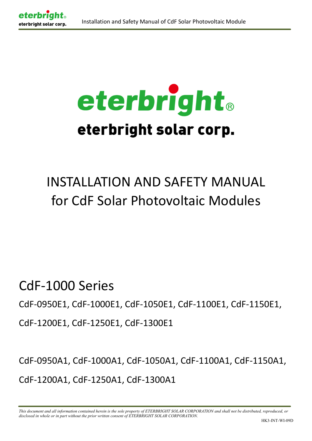

# eterbright. eterbright solar corp.

# INSTALLATION AND SAFETY MANUAL for CdF Solar Photovoltaic Modules

CdF-1000 Series

CdF-0950E1, CdF-1000E1, CdF-1050E1, CdF-1100E1, CdF-1150E1,

CdF-1200E1, CdF-1250E1, CdF-1300E1

CdF-0950A1, CdF-1000A1, CdF-1050A1, CdF-1100A1, CdF-1150A1, CdF-1200A1, CdF-1250A1, CdF-1300A1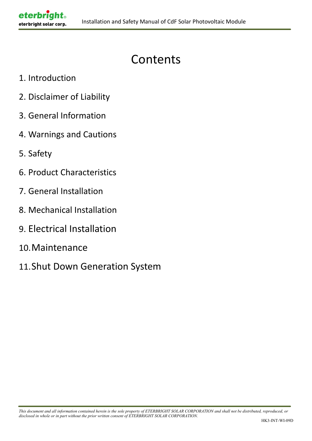# Contents

1. Introduction

eterbrig

- 2. Disclaimer of Liability
- 3. General Information
- 4. Warnings and Cautions
- 5. Safety
- 6. Product Characteristics
- 7. General Installation
- 8. Mechanical Installation
- 9. Electrical Installation
- 10.Maintenance
- 11.Shut Down Generation System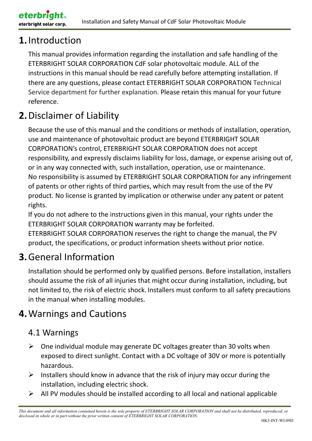# **1.**Introduction

eterbright solar corp.

eterbr

This manual provides information regarding the installation and safe handling of the ETERBRIGHT SOLAR CORPORATION CdF solar photovoltaic module. ALL of the instructions in this manual should be read carefully before attempting installation. If there are any questions, please contact ETERBRIGHT SOLAR CORPORATION Technical Service department for further explanation. Please retain this manual for your future reference.

# **2.**Disclaimer of Liability

Because the use of this manual and the conditions or methods of installation, operation, use and maintenance of photovoltaic product are beyond ETERBRIGHT SOLAR CORPORATION's control, ETERBRIGHT SOLAR CORPORATION does not accept responsibility, and expressly disclaims liability for loss, damage, or expense arising out of, or in any way connected with, such installation, operation, use or maintenance. No responsibility is assumed by ETERBRIGHT SOLAR CORPORATION for any infringement of patents or other rights of third parties, which may result from the use of the PV product. No license is granted by implication or otherwise under any patent or patent rights.

If you do not adhere to the instructions given in this manual, your rights under the ETERBRIGHT SOLAR CORPORATION warranty may be forfeited.

ETERBRIGHT SOLAR CORPORATION reserves the right to change the manual, the PV product, the specifications, or product information sheets without prior notice.

# **3.**General Information

Installation should be performed only by qualified persons. Before installation, installers should assume the risk of all injuries that might occur during installation, including, but not limited to, the risk of electric shock. Installers must conform to all safety precautions in the manual when installing modules.

# **4.**Warnings and Cautions

#### 4.1 Warnings

- $\triangleright$  One individual module may generate DC voltages greater than 30 volts when exposed to direct sunlight. Contact with a DC voltage of 30V or more is potentially hazardous.
- $\triangleright$  Installers should know in advance that the risk of injury may occur during the installation, including electric shock.
- $\triangleright$  All PV modules should be installed according to all local and national applicable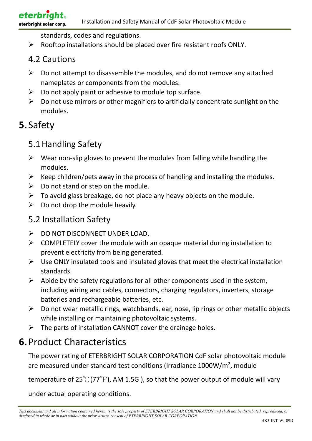standards, codes and regulations.

 $\triangleright$  Rooftop installations should be placed over fire resistant roofs ONLY.

#### 4.2 Cautions

- $\triangleright$  Do not attempt to disassemble the modules, and do not remove any attached nameplates or components from the modules.
- $\triangleright$  Do not apply paint or adhesive to module top surface.
- $\triangleright$  Do not use mirrors or other magnifiers to artificially concentrate sunlight on the modules.

#### **5.** Safety

#### 5.1 Handling Safety

- $\triangleright$  Wear non-slip gloves to prevent the modules from falling while handling the modules.
- $\triangleright$  Keep children/pets away in the process of handling and installing the modules.
- $\triangleright$  Do not stand or step on the module.
- $\triangleright$  To avoid glass breakage, do not place any heavy objects on the module.
- $\triangleright$  Do not drop the module heavily.

#### 5.2 Installation Safety

- $\triangleright$  DO NOT DISCONNECT UNDER LOAD.
- $\triangleright$  COMPLETELY cover the module with an opaque material during installation to prevent electricity from being generated.
- $\triangleright$  Use ONLY insulated tools and insulated gloves that meet the electrical installation standards.
- $\triangleright$  Abide by the safety regulations for all other components used in the system, including wiring and cables, connectors, charging regulators, inverters, storage batteries and rechargeable batteries, etc.
- $\triangleright$  Do not wear metallic rings, watchbands, ear, nose, lip rings or other metallic objects while installing or maintaining photovoltaic systems.
- $\triangleright$  The parts of installation CANNOT cover the drainage holes.

## **6.**Product Characteristics

The power rating of ETERBRIGHT SOLAR CORPORATION CdF solar photovoltaic module are measured under standard test conditions (Irradiance 1000W/m<sup>2</sup>, module

temperature of 25 $\mathrm{C}(77^\circ F)$ , AM 1.5G ), so that the power output of module will vary

under actual operating conditions.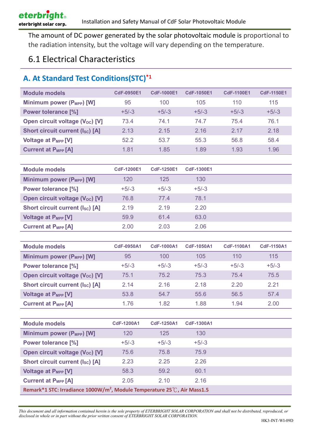The amount of DC power generated by the solar photovoltaic module is proportional to the radiation intensity, but the voltage will vary depending on the temperature.

#### 6.1 Electrical Characteristics

#### **A. At Standard Test Conditions(STC)\*1**

| <b>Module models</b>                   | <b>CdF-0950E1</b> | <b>CdF-1000E1</b> | <b>CdF-1050E1</b> | <b>CdF-1100E1</b> | <b>CdF-1150E1</b> |
|----------------------------------------|-------------------|-------------------|-------------------|-------------------|-------------------|
| Minimum power (P <sub>MPP</sub> ) [W]  | 95                | 100               | 105               | 110               | 115               |
| <b>Power tolerance [%]</b>             | $+5/-3$           | $+5/-3$           | $+5/3$            | $+5/-3$           | $+5/-3$           |
| Open circuit voltage (Voc) [V]         | 73.4              | 74.1              | 74.7              | 75.4              | 76.1              |
| <b>Short circuit current (Isc) [A]</b> | 2.13              | 2.15              | 2.16              | 2 17              | 2.18              |
| <b>Voltage at P<sub>MPP</sub></b> [V]  | 52.2              | 53.7              | 55.3              | 56.8              | 58.4              |
| <b>Current at PMPP [A]</b>             | 1.81              | 1.85              | 1.89              | 1.93              | 1.96              |

| <b>Module models</b>                        | <b>CdF-1200E1</b> | CdF-1250E1 | <b>CdF-1300E1</b> |  |
|---------------------------------------------|-------------------|------------|-------------------|--|
| Minimum power (P <sub>MPP</sub> ) [W]       | 120               | 125        | 130               |  |
| <b>Power tolerance [%]</b>                  | $+5/-3$           | $+5/-3$    | $+5/-3$           |  |
| Open circuit voltage (V <sub>oc</sub> ) [V] | 76.8              | 774        | 78.1              |  |
| <b>Short circuit current (Isc) [A]</b>      | 2.19              | 2.19       | 2.20              |  |
| <b>Voltage at PMPP [V]</b>                  | 59.9              | 61.4       | 63.0              |  |
| <b>Current at P<sub>MPP</sub></b> [A]       | 2.00              | 2.03       | 2.06              |  |

| <b>Module models</b>                   | <b>CdF-0950A1</b> | <b>CdF-1000A1</b> | <b>CdF-1050A1</b> | <b>CdF-1100A1</b> | <b>CdF-1150A1</b> |
|----------------------------------------|-------------------|-------------------|-------------------|-------------------|-------------------|
| Minimum power (P <sub>MPP</sub> ) [W]  | 95                | 100               | 105               | 110               | 115               |
| <b>Power tolerance [%]</b>             | $+5/-3$           | $+5/-3$           | $+5/-3$           | $+5/-3$           | $+5/-3$           |
| Open circuit voltage (Voc) [V]         | 75.1              | 75.2              | 75.3              | 75.4              | 75.5              |
| <b>Short circuit current (Isc) [A]</b> | 2.14              | 2.16              | 2.18              | 2.20              | 2.21              |
| <b>Voltage at PMPP [V]</b>             | 53.8              | 54.7              | 55.6              | 56.5              | 57.4              |
| <b>Current at PMPP [A]</b>             | 1.76              | 1.82              | 1.88              | 1.94              | 2.00              |

| <b>Module models</b>                                                                | <b>CdF-1200A1</b> | <b>CdF-1250A1</b> | <b>CdF-1300A1</b> |  |
|-------------------------------------------------------------------------------------|-------------------|-------------------|-------------------|--|
| Minimum power (P <sub>MPP</sub> ) [W]                                               | 120               | 125               | 130               |  |
| <b>Power tolerance [%]</b>                                                          | $+5/-3$           | $+5/-3$           | $+5/-3$           |  |
| Open circuit voltage (V <sub>oc</sub> ) [V]                                         | 75.6              | 75.8              | 75.9              |  |
| <b>Short circuit current (Isc) [A]</b>                                              | 2.23              | 2.25              | 2.26              |  |
| <b>Voltage at PMPP [V]</b>                                                          | 58.3              | 59.2              | 60.1              |  |
| <b>Current at PMPP [A]</b>                                                          | 2.05              | 2.10              | 2.16              |  |
| Remark*1 STC: Irradiance 1000W/m <sup>2</sup> , Module Temperature 25℃, Air Mass1.5 |                   |                   |                   |  |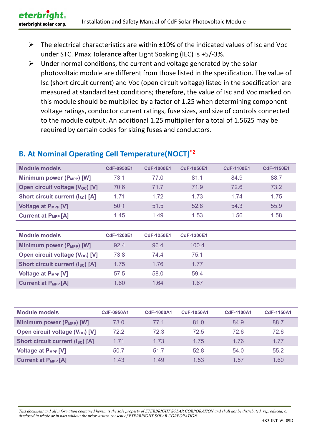- $\triangleright$  The electrical characteristics are within  $\pm 10\%$  of the indicated values of Isc and Voc under STC. Pmax Tolerance after Light Soaking (IEC) is +5/-3%.
- $\triangleright$  Under normal conditions, the current and voltage generated by the solar photovoltaic module are different from those listed in the specification. The value of Isc (short circuit current) and Voc (open circuit voltage) listed in the specification are measured at standard test conditions; therefore, the value of Isc and Voc marked on this module should be multiplied by a factor of 1.25 when determining component voltage ratings, conductor current ratings, fuse sizes, and size of controls connected to the module output. An additional 1.25 multiplier for a total of 1.5625 may be required by certain codes for sizing fuses and conductors.

#### **B. At Nominal Operating Cell Temperature(NOCT)\*2**

| <b>Module models</b>                        | <b>CdF-0950E1</b> | <b>CdF-1000E1</b> | <b>CdF-1050E1</b> | <b>CdF-1100E1</b> | <b>CdF-1150E1</b> |
|---------------------------------------------|-------------------|-------------------|-------------------|-------------------|-------------------|
| Minimum power (P <sub>MPP</sub> ) [W]       | 73.1              | 77 O              | 81.1              | 84.9              | 88.7              |
| Open circuit voltage (V <sub>oc</sub> ) [V] | 70.6              | 717               | 71.9              | <b>726</b>        | 73.2              |
| <b>Short circuit current (Isc) [A]</b>      | 1 7 1             | 1.72              | 1 73              | 1 74              | 1.75              |
| <b>Voltage at P<sub>MPP</sub></b> [V]       | 50.1              | 51.5              | 52.8              | 54.3              | 55.9              |
| <b>Current at P<sub>MPP</sub></b> [A]       | 1.45              | 1.49              | 1.53              | 1.56              | 1.58              |

| <b>Module models</b>                        | <b>CdF-1200E1</b> | <b>CdF-1250E1</b> | <b>CdF-1300E1</b> |  |
|---------------------------------------------|-------------------|-------------------|-------------------|--|
| Minimum power (P <sub>MPP</sub> ) [W]       | 92.4              | 96.4              | 100.4             |  |
| Open circuit voltage (V <sub>oc</sub> ) [V] | 73.8              | 74.4              | 75.1              |  |
| <b>Short circuit current (Isc) [A]</b>      | 1.75              | 1.76              | 1 77              |  |
| <b>Voltage at P<sub>MPP</sub></b> [V]       | 57.5              | 58.0              | 59.4              |  |
| <b>Current at PMPP [A]</b>                  | 1.60              | 1.64              | 1.67              |  |

| <b>Module models</b>                        | <b>CdF-0950A1</b> | <b>CdF-1000A1</b> | <b>CdF-1050A1</b> | <b>CdF-1100A1</b> | <b>CdF-1150A1</b> |
|---------------------------------------------|-------------------|-------------------|-------------------|-------------------|-------------------|
| Minimum power (P <sub>MPP</sub> ) [W]       | 73.0              | 77.1              | 81.0              | 84.9              | 88.7              |
| Open circuit voltage (V <sub>oc</sub> ) [V] | 72.2              | 72.3              | 72.5              | 72.6              | 72.6              |
| <b>Short circuit current (Isc) [A]</b>      | 1 7 1             | 1.73              | 1.75              | 1.76              | 1.77              |
| <b>Voltage at P<sub>MPP</sub></b> [V]       | 50.7              | 51.7              | 52.8              | 54.0              | 55.2              |
| <b>Current at PMPP [A]</b>                  | 1.43              | 1.49              | 1.53              | 1.57              | 1.60              |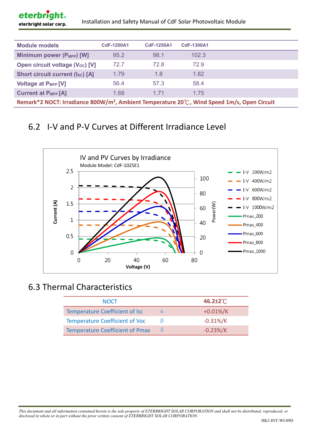| Installation and Safety Manual of CdF Solar Photovoltaic Module<br>eterbright solar corp.              |                   |                   |                   |  |  |
|--------------------------------------------------------------------------------------------------------|-------------------|-------------------|-------------------|--|--|
| <b>Module models</b>                                                                                   | <b>CdF-1200A1</b> | <b>CdF-1250A1</b> | <b>CdF-1300A1</b> |  |  |
| Minimum power (P <sub>MPP</sub> ) [W]                                                                  | 95.2              | 98.1              | 102.3             |  |  |
| Open circuit voltage (V <sub>oc</sub> ) [V]                                                            | 72.7              | 72.8              | 72.9              |  |  |
| <b>Short circuit current (Isc) [A]</b>                                                                 | 1.79              | 1.8               | 1.82              |  |  |
| Voltage at P <sub>MPP</sub> [V]                                                                        | 56.4              | 57.3              | 58.4              |  |  |
| <b>Current at PMPP [A]</b>                                                                             | 1.68              | 1.71              | 1.75              |  |  |
| Remark*2 NOCT: Irradiance 800W/m <sup>2</sup> , Ambient Temperature 20℃, Wind Speed 1m/s, Open Circuit |                   |                   |                   |  |  |

#### 6.2 I-V and P-V Curves at Different Irradiance Level



#### 6.3 Thermal Characteristics

eterbright®

| <b>NOCT</b>                            |   | $46.2 \pm 2^{\circ}$ |
|----------------------------------------|---|----------------------|
| Temperature Coefficient of Isc         |   | $+0.01\%/K$          |
| <b>Temperature Coefficient of Voc</b>  |   | $-0.31\%/K$          |
| <b>Temperature Coefficient of Pmax</b> | δ | $-0.23%$ /K          |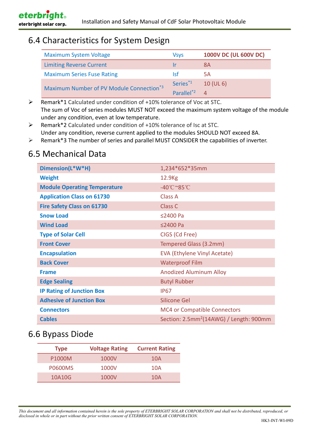#### 6.4 Characteristics for System Design

| <b>Maximum System Voltage</b>                        | Vsvs                   | 1000V DC (UL 600V DC) |
|------------------------------------------------------|------------------------|-----------------------|
| <b>Limiting Reverse Current</b>                      | $\mathsf{Tr}$          | 8А                    |
| <b>Maximum Series Fuse Rating</b>                    | Isf                    | 5Α                    |
| Maximum Number of PV Module Connection <sup>*3</sup> | Series <sup>*1</sup>   | $10$ (UL 6)           |
|                                                      | Parallel <sup>*2</sup> | $\Delta$              |

 Remark\*1 Calculated under condition of +10% tolerance of Voc at STC. The sum of Voc of series modules MUST NOT exceed the maximum system voltage of the module under any condition, even at low temperature.

 Remark\*2 Calculated under condition of +10% tolerance of Isc at STC. Under any condition, reverse current applied to the modules SHOULD NOT exceed 8A.

 $\triangleright$  Remark\*3 The number of series and parallel MUST CONSIDER the capabilities of inverter.

#### 6.5 Mechanical Data

| Dimension(L*W*H)                    | 1,234*652*35mm                                      |
|-------------------------------------|-----------------------------------------------------|
| <b>Weight</b>                       | 12.9 <sub>Kg</sub>                                  |
| <b>Module Operating Temperature</b> | -40°C~85°C                                          |
| <b>Application Class on 61730</b>   | Class A                                             |
| <b>Fire Safety Class on 61730</b>   | <b>Class C</b>                                      |
| <b>Snow Load</b>                    | ≤2400 Pa                                            |
| <b>Wind Load</b>                    | ≤2400 Pa                                            |
| <b>Type of Solar Cell</b>           | CIGS (Cd Free)                                      |
| <b>Front Cover</b>                  | Tempered Glass (3.2mm)                              |
| <b>Encapsulation</b>                | EVA (Ethylene Vinyl Acetate)                        |
| <b>Back Cover</b>                   | <b>Waterproof Film</b>                              |
| <b>Frame</b>                        | <b>Anodized Aluminum Alloy</b>                      |
| <b>Edge Sealing</b>                 | <b>Butyl Rubber</b>                                 |
| <b>IP Rating of Junction Box</b>    | <b>IP67</b>                                         |
| <b>Adhesive of Junction Box</b>     | <b>Silicone Gel</b>                                 |
| <b>Connectors</b>                   | MC4 or Compatible Connectors                        |
| <b>Cables</b>                       | Section: 2.5mm <sup>2</sup> (14AWG) / Length: 900mm |

#### 6.6 Bypass Diode

| <b>Type</b>    | <b>Voltage Rating</b> | <b>Current Rating</b> |
|----------------|-----------------------|-----------------------|
| P1000M         | 1000V                 | 10A                   |
| <b>P0600MS</b> | 1000V                 | 10A                   |
| 10A10G         | 1000V                 | 10A                   |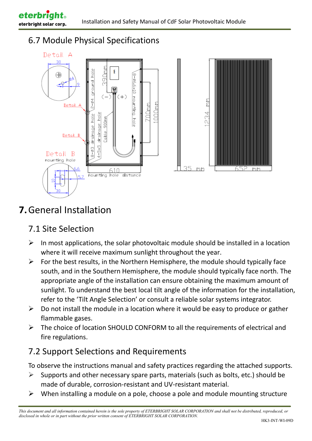#### 6.7 Module Physical Specifications



# **7.**General Installation

#### 7.1 Site Selection

- $\triangleright$  In most applications, the solar photovoltaic module should be installed in a location where it will receive maximum sunlight throughout the year.
- $\triangleright$  For the best results, in the Northern Hemisphere, the module should typically face south, and in the Southern Hemisphere, the module should typically face north. The appropriate angle of the installation can ensure obtaining the maximum amount of sunlight. To understand the best local tilt angle of the information for the installation, refer to the 'Tilt Angle Selection' or consult a reliable solar systems integrator.
- $\triangleright$  Do not install the module in a location where it would be easy to produce or gather flammable gases.
- $\triangleright$  The choice of location SHOULD CONFORM to all the requirements of electrical and fire regulations.

#### 7.2 Support Selections and Requirements

To observe the instructions manual and safety practices regarding the attached supports.

- $\triangleright$  Supports and other necessary spare parts, materials (such as bolts, etc.) should be made of durable, corrosion-resistant and UV-resistant material.
- $\triangleright$  When installing a module on a pole, choose a pole and module mounting structure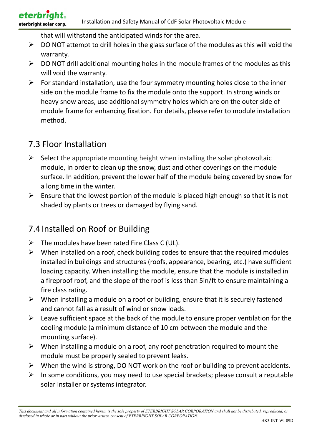eterbrid eterbright solar corp.

that will withstand the anticipated winds for the area.

- $\triangleright$  DO NOT attempt to drill holes in the glass surface of the modules as this will void the warranty.
- $\triangleright$  DO NOT drill additional mounting holes in the module frames of the modules as this will void the warranty.
- $\triangleright$  For standard installation, use the four symmetry mounting holes close to the inner side on the module frame to fix the module onto the support. In strong winds or heavy snow areas, use additional symmetry holes which are on the outer side of module frame for enhancing fixation. For details, please refer to module installation method.

#### 7.3 Floor Installation

- $\triangleright$  Select the appropriate mounting height when installing the solar photovoltaic module, in order to clean up the snow, dust and other coverings on the module surface. In addition, prevent the lower half of the module being covered by snow for a long time in the winter.
- $\triangleright$  Ensure that the lowest portion of the module is placed high enough so that it is not shaded by plants or trees or damaged by flying sand.

#### 7.4 Installed on Roof or Building

- $\triangleright$  The modules have been rated Fire Class C (UL).
- $\triangleright$  When installed on a roof, check building codes to ensure that the required modules installed in buildings and structures (roofs, appearance, bearing, etc.) have sufficient loading capacity. When installing the module, ensure that the module is installed in a fireproof roof, and the slope of the roof is less than 5in/ft to ensure maintaining a fire class rating.
- $\triangleright$  When installing a module on a roof or building, ensure that it is securely fastened and cannot fall as a result of wind or snow loads.
- $\triangleright$  Leave sufficient space at the back of the module to ensure proper ventilation for the cooling module (a minimum distance of 10 cm between the module and the mounting surface).
- $\triangleright$  When installing a module on a roof, any roof penetration required to mount the module must be properly sealed to prevent leaks.
- $\triangleright$  When the wind is strong, DO NOT work on the roof or building to prevent accidents.
- $\triangleright$  In some conditions, you may need to use special brackets; please consult a reputable solar installer or systems integrator.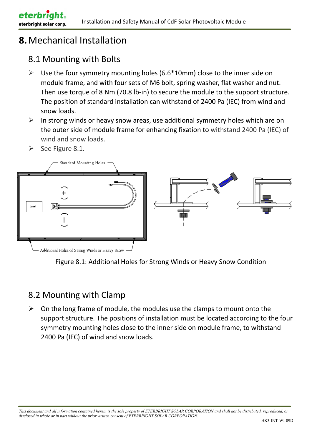eterbrid

eterbright solar corp.

#### 8.1 Mounting with Bolts

- $\triangleright$  Use the four symmetry mounting holes (6.6\*10mm) close to the inner side on module frame, and with four sets of M6 bolt, spring washer, flat washer and nut. Then use torque of 8 Nm (70.8 lb-in) to secure the module to the support structure. The position of standard installation can withstand of 2400 Pa (IEC) from wind and snow loads.
- $\triangleright$  In strong winds or heavy snow areas, use additional symmetry holes which are on the outer side of module frame for enhancing fixation to withstand 2400 Pa (IEC) of wind and snow loads.
- $\triangleright$  See Figure 8.1.



Figure 8.1: Additional Holes for Strong Winds or Heavy Snow Condition

#### 8.2 Mounting with Clamp

 $\triangleright$  On the long frame of module, the modules use the clamps to mount onto the support structure. The positions of installation must be located according to the four symmetry mounting holes close to the inner side on module frame, to withstand 2400 Pa (IEC) of wind and snow loads.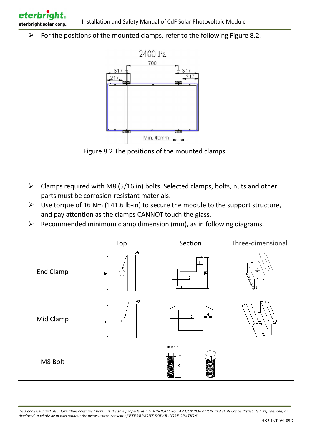$\triangleright$  For the positions of the mounted clamps, refer to the following Figure 8.2.

eterbrid

eterbright solar corp.



Figure 8.2 The positions of the mounted clamps

- $\triangleright$  Clamps required with M8 (5/16 in) bolts. Selected clamps, bolts, nuts and other parts must be corrosion-resistant materials.
- $\triangleright$  Use torque of 16 Nm (141.6 lb-in) to secure the module to the support structure, and pay attention as the clamps CANNOT touch the glass.
- $\triangleright$  Recommended minimum clamp dimension (mm), as in following diagrams.

|                  | Top             | Section                                      | Three-dimensional |
|------------------|-----------------|----------------------------------------------|-------------------|
| <b>End Clamp</b> | $\varPhi8$<br>읭 | $\Box$<br>뫄<br>3                             | G                 |
| Mid Clamp        | - ø8<br>읭       | 3                                            |                   |
| M8 Bolt          |                 | M8 Bolt<br><b>COMMAND</b><br>$\overline{50}$ |                   |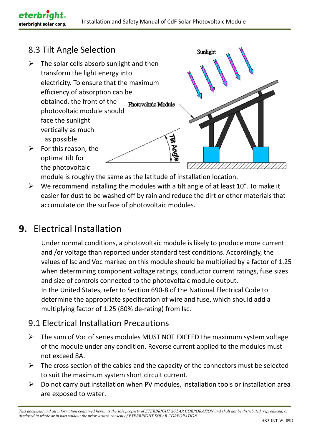Sunlight

#### 8.3 Tilt Angle Selection

eterbrid

- $\triangleright$  The solar cells absorb sunlight and then transform the light energy into electricity. To ensure that the maximum efficiency of absorption can be obtained, the front of the Photovoltaic Module photovoltaic module should face the sunlight vertically as much **Till Angle**  as possible.  $\triangleright$  For this reason, the
- optimal tilt for the photovoltaic

module is roughly the same as the latitude of installation location.

 $\triangleright$  We recommend installing the modules with a tilt angle of at least 10°. To make it easier for dust to be washed off by rain and reduce the dirt or other materials that accumulate on the surface of photovoltaic modules.

## **9.** Electrical Installation

Under normal conditions, a photovoltaic module is likely to produce more current and /or voltage than reported under standard test conditions. Accordingly, the values of Isc and Voc marked on this module should be multiplied by a factor of 1.25 when determining component voltage ratings, conductor current ratings, fuse sizes and size of controls connected to the photovoltaic module output. In the United States, refer to Section 690-8 of the National Electrical Code to determine the appropriate specification of wire and fuse, which should add a multiplying factor of 1.25 (80% de-rating) from Isc.

#### 9.1 Electrical Installation Precautions

- $\triangleright$  The sum of Voc of series modules MUST NOT EXCEED the maximum system voltage of the module under any condition. Reverse current applied to the modules must not exceed 8A.
- $\triangleright$  The cross section of the cables and the capacity of the connectors must be selected to suit the maximum system short circuit current.
- $\triangleright$  Do not carry out installation when PV modules, installation tools or installation area are exposed to water.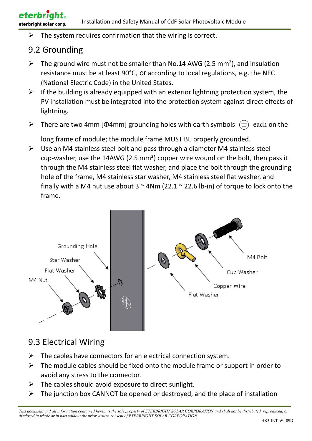$\triangleright$  The system requires confirmation that the wiring is correct.

#### 9.2 Grounding

- $\triangleright$  The ground wire must not be smaller than No.14 AWG (2.5 mm<sup>2</sup>), and insulation resistance must be at least 90°C, or according to local regulations, e.g. the NEC (National Electric Code) in the United States.
- $\triangleright$  If the building is already equipped with an exterior lightning protection system, the PV installation must be integrated into the protection system against direct effects of lightning.
- $\triangleright$  There are two 4mm [Φ4mm] grounding holes with earth symbols  $\left(\frac{1}{n}\right)$  each on the

long frame of module; the module frame MUST BE properly grounded.

 $\triangleright$  Use an M4 stainless steel bolt and pass through a diameter M4 stainless steel cup-washer, use the 14AWG (2.5 mm²) copper wire wound on the bolt, then pass it through the M4 stainless steel flat washer, and place the bolt through the grounding hole of the frame, M4 stainless star washer, M4 stainless steel flat washer, and finally with a M4 nut use about  $3 \approx 4$ Nm (22.1  $\approx$  22.6 lb-in) of torque to lock onto the frame.



#### 9.3 Electrical Wiring

- $\triangleright$  The cables have connectors for an electrical connection system.
- $\triangleright$  The module cables should be fixed onto the module frame or support in order to avoid any stress to the connector.
- $\triangleright$  The cables should avoid exposure to direct sunlight.
- $\triangleright$  The junction box CANNOT be opened or destroyed, and the place of installation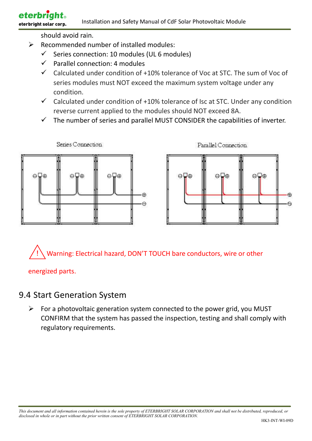#### **eterbright** eterbright solar corp.

#### Installation and Safety Manual of CdF Solar Photovoltaic Module

should avoid rain.

- $\triangleright$  Recommended number of installed modules:
	- $\checkmark$ Series connection: 10 modules (UL 6 modules)
	- $\checkmark$ Parallel connection: 4 modules
	- Calculated under condition of +10% tolerance of Voc at STC. The sum of Voc of series modules must NOT exceed the maximum system voltage under any condition.
	- $\checkmark$  Calculated under condition of +10% tolerance of Isc at STC. Under any condition reverse current applied to the modules should NOT exceed 8A.
	- $\checkmark$ The number of series and parallel MUST CONSIDER the capabilities of inverter.





Warning: Electrical hazard, DON'T TOUCH bare conductors, wire or other

energized parts.

#### 9.4 Start Generation System

 $\triangleright$  For a photovoltaic generation system connected to the power grid, you MUST CONFIRM that the system has passed the inspection, testing and shall comply with regulatory requirements.